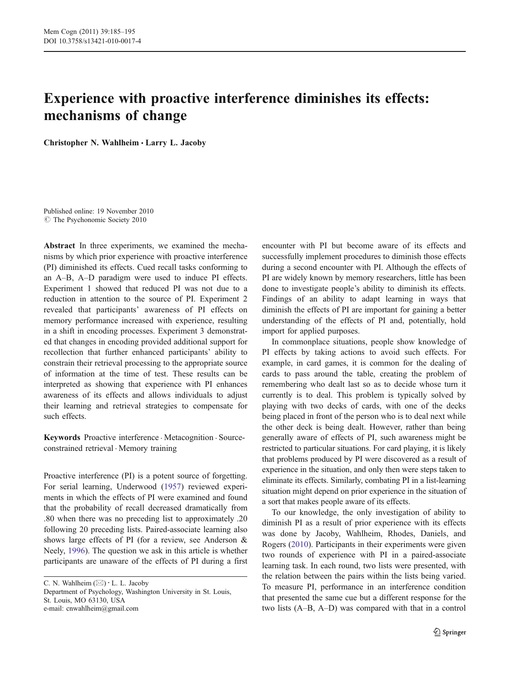# Experience with proactive interference diminishes its effects: mechanisms of change

Christopher N. Wahlheim · Larry L. Jacoby

Published online: 19 November 2010  $\odot$  The Psychonomic Society 2010

Abstract In three experiments, we examined the mechanisms by which prior experience with proactive interference (PI) diminished its effects. Cued recall tasks conforming to an A–B, A–D paradigm were used to induce PI effects. Experiment 1 showed that reduced PI was not due to a reduction in attention to the source of PI. Experiment 2 revealed that participants' awareness of PI effects on memory performance increased with experience, resulting in a shift in encoding processes. Experiment 3 demonstrated that changes in encoding provided additional support for recollection that further enhanced participants' ability to constrain their retrieval processing to the appropriate source of information at the time of test. These results can be interpreted as showing that experience with PI enhances awareness of its effects and allows individuals to adjust their learning and retrieval strategies to compensate for such effects.

Keywords Proactive interference . Metacognition . Sourceconstrained retrieval . Memory training

Proactive interference (PI) is a potent source of forgetting. For serial learning, Underwood ([1957\)](#page-10-0) reviewed experiments in which the effects of PI were examined and found that the probability of recall decreased dramatically from .80 when there was no preceding list to approximately .20 following 20 preceding lists. Paired-associate learning also shows large effects of PI (for a review, see Anderson & Neely, [1996](#page-10-0)). The question we ask in this article is whether participants are unaware of the effects of PI during a first

C. N. Wahlheim  $(\boxtimes) \cdot$  L. L. Jacoby

Department of Psychology, Washington University in St. Louis, St. Louis, MO 63130, USA e-mail: cnwahlheim@gmail.com

encounter with PI but become aware of its effects and successfully implement procedures to diminish those effects during a second encounter with PI. Although the effects of PI are widely known by memory researchers, little has been done to investigate people's ability to diminish its effects. Findings of an ability to adapt learning in ways that diminish the effects of PI are important for gaining a better understanding of the effects of PI and, potentially, hold import for applied purposes.

In commonplace situations, people show knowledge of PI effects by taking actions to avoid such effects. For example, in card games, it is common for the dealing of cards to pass around the table, creating the problem of remembering who dealt last so as to decide whose turn it currently is to deal. This problem is typically solved by playing with two decks of cards, with one of the decks being placed in front of the person who is to deal next while the other deck is being dealt. However, rather than being generally aware of effects of PI, such awareness might be restricted to particular situations. For card playing, it is likely that problems produced by PI were discovered as a result of experience in the situation, and only then were steps taken to eliminate its effects. Similarly, combating PI in a list-learning situation might depend on prior experience in the situation of a sort that makes people aware of its effects.

To our knowledge, the only investigation of ability to diminish PI as a result of prior experience with its effects was done by Jacoby, Wahlheim, Rhodes, Daniels, and Rogers [\(2010](#page-10-0)). Participants in their experiments were given two rounds of experience with PI in a paired-associate learning task. In each round, two lists were presented, with the relation between the pairs within the lists being varied. To measure PI, performance in an interference condition that presented the same cue but a different response for the two lists (A–B, A–D) was compared with that in a control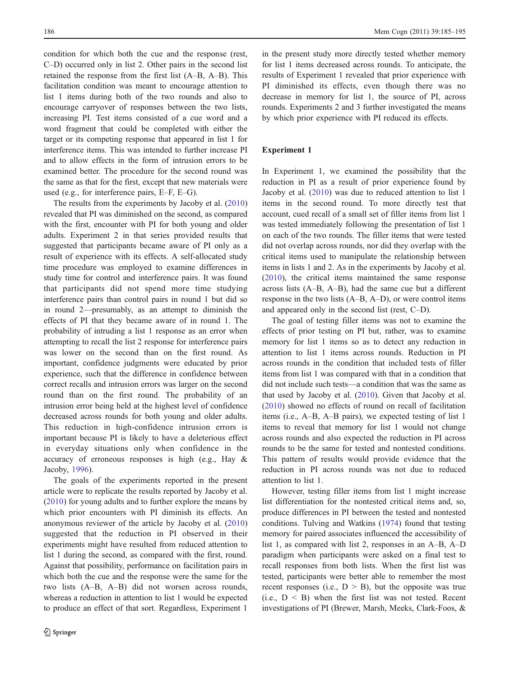condition for which both the cue and the response (rest, C–D) occurred only in list 2. Other pairs in the second list retained the response from the first list (A–B, A–B). This facilitation condition was meant to encourage attention to list 1 items during both of the two rounds and also to encourage carryover of responses between the two lists, increasing PI. Test items consisted of a cue word and a word fragment that could be completed with either the target or its competing response that appeared in list 1 for interference items. This was intended to further increase PI and to allow effects in the form of intrusion errors to be examined better. The procedure for the second round was the same as that for the first, except that new materials were used (e.g., for interference pairs, E–F, E–G).

The results from the experiments by Jacoby et al. ([2010\)](#page-10-0) revealed that PI was diminished on the second, as compared with the first, encounter with PI for both young and older adults. Experiment 2 in that series provided results that suggested that participants became aware of PI only as a result of experience with its effects. A self-allocated study time procedure was employed to examine differences in study time for control and interference pairs. It was found that participants did not spend more time studying interference pairs than control pairs in round 1 but did so in round 2—presumably, as an attempt to diminish the effects of PI that they became aware of in round 1. The probability of intruding a list 1 response as an error when attempting to recall the list 2 response for interference pairs was lower on the second than on the first round. As important, confidence judgments were educated by prior experience, such that the difference in confidence between correct recalls and intrusion errors was larger on the second round than on the first round. The probability of an intrusion error being held at the highest level of confidence decreased across rounds for both young and older adults. This reduction in high-confidence intrusion errors is important because PI is likely to have a deleterious effect in everyday situations only when confidence in the accuracy of erroneous responses is high (e.g., Hay & Jacoby, [1996\)](#page-10-0).

The goals of the experiments reported in the present article were to replicate the results reported by Jacoby et al. [\(2010](#page-10-0)) for young adults and to further explore the means by which prior encounters with PI diminish its effects. An anonymous reviewer of the article by Jacoby et al. ([2010\)](#page-10-0) suggested that the reduction in PI observed in their experiments might have resulted from reduced attention to list 1 during the second, as compared with the first, round. Against that possibility, performance on facilitation pairs in which both the cue and the response were the same for the two lists (A–B, A–B) did not worsen across rounds, whereas a reduction in attention to list 1 would be expected to produce an effect of that sort. Regardless, Experiment 1

in the present study more directly tested whether memory for list 1 items decreased across rounds. To anticipate, the results of Experiment 1 revealed that prior experience with PI diminished its effects, even though there was no decrease in memory for list 1, the source of PI, across rounds. Experiments 2 and 3 further investigated the means by which prior experience with PI reduced its effects.

#### Experiment 1

In Experiment 1, we examined the possibility that the reduction in PI as a result of prior experience found by Jacoby et al. [\(2010](#page-10-0)) was due to reduced attention to list 1 items in the second round. To more directly test that account, cued recall of a small set of filler items from list 1 was tested immediately following the presentation of list 1 on each of the two rounds. The filler items that were tested did not overlap across rounds, nor did they overlap with the critical items used to manipulate the relationship between items in lists 1 and 2. As in the experiments by Jacoby et al. [\(2010](#page-10-0)), the critical items maintained the same response across lists (A–B, A–B), had the same cue but a different response in the two lists (A–B, A–D), or were control items and appeared only in the second list (rest, C–D).

The goal of testing filler items was not to examine the effects of prior testing on PI but, rather, was to examine memory for list 1 items so as to detect any reduction in attention to list 1 items across rounds. Reduction in PI across rounds in the condition that included tests of filler items from list 1 was compared with that in a condition that did not include such tests—a condition that was the same as that used by Jacoby et al. ([2010\)](#page-10-0). Given that Jacoby et al. [\(2010](#page-10-0)) showed no effects of round on recall of facilitation items (i.e., A–B, A–B pairs), we expected testing of list 1 items to reveal that memory for list 1 would not change across rounds and also expected the reduction in PI across rounds to be the same for tested and nontested conditions. This pattern of results would provide evidence that the reduction in PI across rounds was not due to reduced attention to list 1.

However, testing filler items from list 1 might increase list differentiation for the nontested critical items and, so, produce differences in PI between the tested and nontested conditions. Tulving and Watkins ([1974\)](#page-10-0) found that testing memory for paired associates influenced the accessibility of list 1, as compared with list 2, responses in an A–B, A–D paradigm when participants were asked on a final test to recall responses from both lists. When the first list was tested, participants were better able to remember the most recent responses (i.e.,  $D > B$ ), but the opposite was true (i.e.,  $D < B$ ) when the first list was not tested. Recent investigations of PI (Brewer, Marsh, Meeks, Clark-Foos, &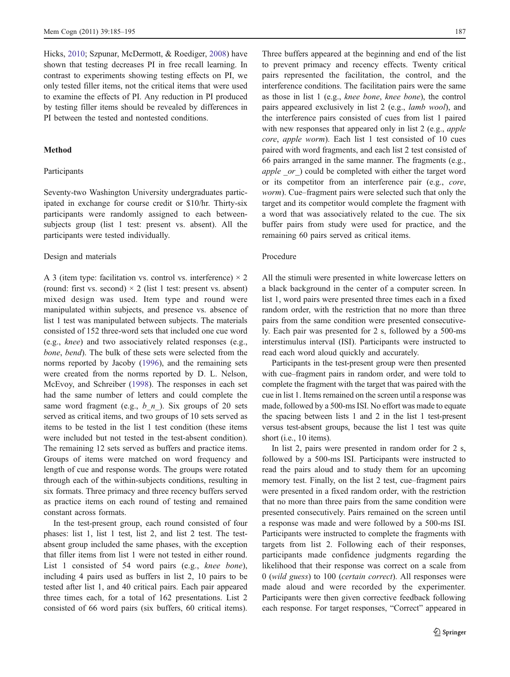Hicks, [2010](#page-10-0); Szpunar, McDermott, & Roediger, [2008\)](#page-10-0) have shown that testing decreases PI in free recall learning. In contrast to experiments showing testing effects on PI, we only tested filler items, not the critical items that were used to examine the effects of PI. Any reduction in PI produced by testing filler items should be revealed by differences in PI between the tested and nontested conditions.

## Method

## Participants

Seventy-two Washington University undergraduates participated in exchange for course credit or \$10/hr. Thirty-six participants were randomly assigned to each betweensubjects group (list 1 test: present vs. absent). All the participants were tested individually.

#### Design and materials

A 3 (item type: facilitation vs. control vs. interference)  $\times$  2 (round: first vs. second)  $\times$  2 (list 1 test: present vs. absent) mixed design was used. Item type and round were manipulated within subjects, and presence vs. absence of list 1 test was manipulated between subjects. The materials consisted of 152 three-word sets that included one cue word (e.g., knee) and two associatively related responses (e.g., bone, bend). The bulk of these sets were selected from the norms reported by Jacoby ([1996\)](#page-10-0), and the remaining sets were created from the norms reported by D. L. Nelson, McEvoy, and Schreiber ([1998\)](#page-10-0). The responses in each set had the same number of letters and could complete the same word fragment (e.g.,  $b_n$ ). Six groups of 20 sets served as critical items, and two groups of 10 sets served as items to be tested in the list 1 test condition (these items were included but not tested in the test-absent condition). The remaining 12 sets served as buffers and practice items. Groups of items were matched on word frequency and length of cue and response words. The groups were rotated through each of the within-subjects conditions, resulting in six formats. Three primacy and three recency buffers served as practice items on each round of testing and remained constant across formats.

In the test-present group, each round consisted of four phases: list 1, list 1 test, list 2, and list 2 test. The testabsent group included the same phases, with the exception that filler items from list 1 were not tested in either round. List 1 consisted of 54 word pairs (e.g., knee bone), including 4 pairs used as buffers in list 2, 10 pairs to be tested after list 1, and 40 critical pairs. Each pair appeared three times each, for a total of 162 presentations. List 2 consisted of 66 word pairs (six buffers, 60 critical items).

Three buffers appeared at the beginning and end of the list to prevent primacy and recency effects. Twenty critical pairs represented the facilitation, the control, and the interference conditions. The facilitation pairs were the same as those in list 1 (e.g., knee bone, knee bone), the control pairs appeared exclusively in list 2 (e.g., lamb wool), and the interference pairs consisted of cues from list 1 paired with new responses that appeared only in list 2 (e.g., *apple* core, apple worm). Each list 1 test consisted of 10 cues paired with word fragments, and each list 2 test consisted of 66 pairs arranged in the same manner. The fragments (e.g., apple or ) could be completed with either the target word or its competitor from an interference pair (e.g., core, worm). Cue–fragment pairs were selected such that only the target and its competitor would complete the fragment with a word that was associatively related to the cue. The six buffer pairs from study were used for practice, and the remaining 60 pairs served as critical items.

## Procedure

All the stimuli were presented in white lowercase letters on a black background in the center of a computer screen. In list 1, word pairs were presented three times each in a fixed random order, with the restriction that no more than three pairs from the same condition were presented consecutively. Each pair was presented for 2 s, followed by a 500-ms interstimulus interval (ISI). Participants were instructed to read each word aloud quickly and accurately.

Participants in the test-present group were then presented with cue–fragment pairs in random order, and were told to complete the fragment with the target that was paired with the cue in list 1. Items remained on the screen until a response was made, followed by a 500-ms ISI. No effort was made to equate the spacing between lists 1 and 2 in the list 1 test-present versus test-absent groups, because the list 1 test was quite short (i.e., 10 items).

In list 2, pairs were presented in random order for 2 s, followed by a 500-ms ISI. Participants were instructed to read the pairs aloud and to study them for an upcoming memory test. Finally, on the list 2 test, cue–fragment pairs were presented in a fixed random order, with the restriction that no more than three pairs from the same condition were presented consecutively. Pairs remained on the screen until a response was made and were followed by a 500-ms ISI. Participants were instructed to complete the fragments with targets from list 2. Following each of their responses, participants made confidence judgments regarding the likelihood that their response was correct on a scale from 0 (wild guess) to 100 (certain correct). All responses were made aloud and were recorded by the experimenter. Participants were then given corrective feedback following each response. For target responses, "Correct" appeared in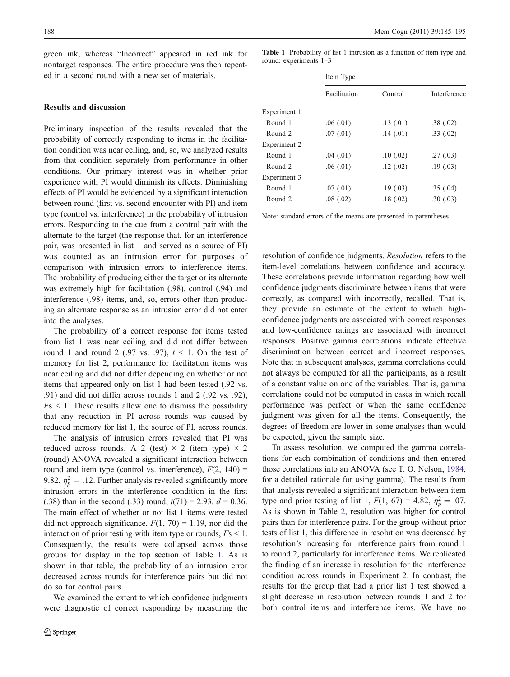<span id="page-3-0"></span>green ink, whereas "Incorrect" appeared in red ink for nontarget responses. The entire procedure was then repeated in a second round with a new set of materials.

## Results and discussion

Preliminary inspection of the results revealed that the probability of correctly responding to items in the facilitation condition was near ceiling, and, so, we analyzed results from that condition separately from performance in other conditions. Our primary interest was in whether prior experience with PI would diminish its effects. Diminishing effects of PI would be evidenced by a significant interaction between round (first vs. second encounter with PI) and item type (control vs. interference) in the probability of intrusion errors. Responding to the cue from a control pair with the alternate to the target (the response that, for an interference pair, was presented in list 1 and served as a source of PI) was counted as an intrusion error for purposes of comparison with intrusion errors to interference items. The probability of producing either the target or its alternate was extremely high for facilitation (.98), control (.94) and interference (.98) items, and, so, errors other than producing an alternate response as an intrusion error did not enter into the analyses.

The probability of a correct response for items tested from list 1 was near ceiling and did not differ between round 1 and round 2 (.97 vs. .97),  $t < 1$ . On the test of memory for list 2, performance for facilitation items was near ceiling and did not differ depending on whether or not items that appeared only on list 1 had been tested (.92 vs. .91) and did not differ across rounds 1 and 2 (.92 vs. .92),  $Fs < 1$ . These results allow one to dismiss the possibility that any reduction in PI across rounds was caused by reduced memory for list 1, the source of PI, across rounds.

The analysis of intrusion errors revealed that PI was reduced across rounds. A 2 (test)  $\times$  2 (item type)  $\times$  2 (round) ANOVA revealed a significant interaction between round and item type (control vs. interference),  $F(2, 140) =$ 9.82,  $\eta_p^2 = .12$ . Further analysis revealed significantly more intrusion errors in the interference condition in the first (.38) than in the second (.33) round,  $t(71) = 2.93$ ,  $d = 0.36$ . The main effect of whether or not list 1 items were tested did not approach significance,  $F(1, 70) = 1.19$ , nor did the interaction of prior testing with item type or rounds,  $Fs \leq 1$ . Consequently, the results were collapsed across those groups for display in the top section of Table 1. As is shown in that table, the probability of an intrusion error decreased across rounds for interference pairs but did not do so for control pairs.

We examined the extent to which confidence judgments were diagnostic of correct responding by measuring the

Table 1 Probability of list 1 intrusion as a function of item type and round: experiments 1–3

| Item Type    |           |              |
|--------------|-----------|--------------|
| Facilitation | Control   | Interference |
|              |           |              |
| .06(0.01)    | .13(01)   | .38(.02)     |
| .07(01)      | .14(.01)  | .33(.02)     |
|              |           |              |
| .04(01)      | .10(0.02) | .27(0.03)    |
| .06(0.01)    | .12(02)   | .19(0.03)    |
|              |           |              |
| .07(01)      | .19(0.03) | .35(.04)     |
| .08(0.02)    | .18(.02)  | .30(.03)     |
|              |           |              |

Note: standard errors of the means are presented in parentheses

resolution of confidence judgments. Resolution refers to the item-level correlations between confidence and accuracy. These correlations provide information regarding how well confidence judgments discriminate between items that were correctly, as compared with incorrectly, recalled. That is, they provide an estimate of the extent to which highconfidence judgments are associated with correct responses and low-confidence ratings are associated with incorrect responses. Positive gamma correlations indicate effective discrimination between correct and incorrect responses. Note that in subsequent analyses, gamma correlations could not always be computed for all the participants, as a result of a constant value on one of the variables. That is, gamma correlations could not be computed in cases in which recall performance was perfect or when the same confidence judgment was given for all the items. Consequently, the degrees of freedom are lower in some analyses than would be expected, given the sample size.

To assess resolution, we computed the gamma correlations for each combination of conditions and then entered those correlations into an ANOVA (see T. O. Nelson, [1984,](#page-10-0) for a detailed rationale for using gamma). The results from that analysis revealed a significant interaction between item type and prior testing of list 1,  $F(1, 67) = 4.82$ ,  $\eta_p^2 = .07$ . As is shown in Table [2](#page-4-0), resolution was higher for control pairs than for interference pairs. For the group without prior tests of list 1, this difference in resolution was decreased by resolution's increasing for interference pairs from round 1 to round 2, particularly for interference items. We replicated the finding of an increase in resolution for the interference condition across rounds in Experiment 2. In contrast, the results for the group that had a prior list 1 test showed a slight decrease in resolution between rounds 1 and 2 for both control items and interference items. We have no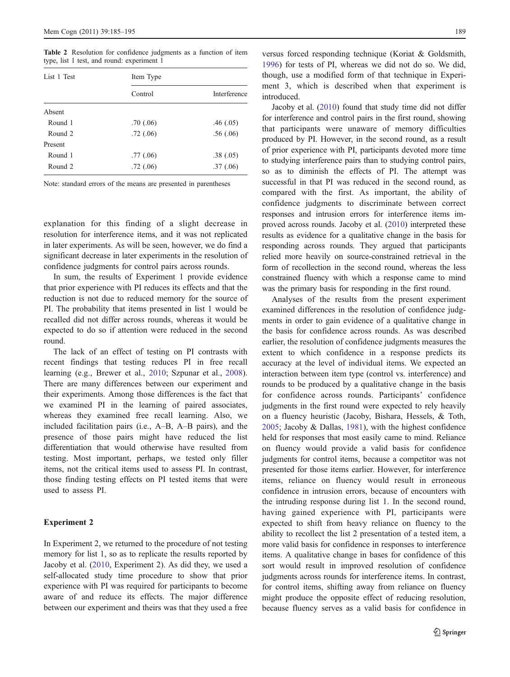<span id="page-4-0"></span>Table 2 Resolution for confidence judgments as a function of item type, list 1 test, and round: experiment 1

| List 1 Test | Item Type |              |  |
|-------------|-----------|--------------|--|
|             | Control   | Interference |  |
| Absent      |           |              |  |
| Round 1     | .70(0.06) | .46(0.05)    |  |
| Round 2     | .72(06)   | .56(.06)     |  |
| Present     |           |              |  |
| Round 1     | .77(0.06) | .38(.05)     |  |
| Round 2     | .72(.06)  | .37(.06)     |  |

Note: standard errors of the means are presented in parentheses

explanation for this finding of a slight decrease in resolution for interference items, and it was not replicated in later experiments. As will be seen, however, we do find a significant decrease in later experiments in the resolution of confidence judgments for control pairs across rounds.

In sum, the results of Experiment 1 provide evidence that prior experience with PI reduces its effects and that the reduction is not due to reduced memory for the source of PI. The probability that items presented in list 1 would be recalled did not differ across rounds, whereas it would be expected to do so if attention were reduced in the second round.

The lack of an effect of testing on PI contrasts with recent findings that testing reduces PI in free recall learning (e.g., Brewer et al., [2010](#page-10-0); Szpunar et al., [2008](#page-10-0)). There are many differences between our experiment and their experiments. Among those differences is the fact that we examined PI in the learning of paired associates, whereas they examined free recall learning. Also, we included facilitation pairs (i.e., A–B, A–B pairs), and the presence of those pairs might have reduced the list differentiation that would otherwise have resulted from testing. Most important, perhaps, we tested only filler items, not the critical items used to assess PI. In contrast, those finding testing effects on PI tested items that were used to assess PI.

#### Experiment 2

In Experiment 2, we returned to the procedure of not testing memory for list 1, so as to replicate the results reported by Jacoby et al. ([2010,](#page-10-0) Experiment 2). As did they, we used a self-allocated study time procedure to show that prior experience with PI was required for participants to become aware of and reduce its effects. The major difference between our experiment and theirs was that they used a free versus forced responding technique (Koriat & Goldsmith, [1996](#page-10-0)) for tests of PI, whereas we did not do so. We did, though, use a modified form of that technique in Experiment 3, which is described when that experiment is introduced.

Jacoby et al. [\(2010](#page-10-0)) found that study time did not differ for interference and control pairs in the first round, showing that participants were unaware of memory difficulties produced by PI. However, in the second round, as a result of prior experience with PI, participants devoted more time to studying interference pairs than to studying control pairs, so as to diminish the effects of PI. The attempt was successful in that PI was reduced in the second round, as compared with the first. As important, the ability of confidence judgments to discriminate between correct responses and intrusion errors for interference items improved across rounds. Jacoby et al. [\(2010\)](#page-10-0) interpreted these results as evidence for a qualitative change in the basis for responding across rounds. They argued that participants relied more heavily on source-constrained retrieval in the form of recollection in the second round, whereas the less constrained fluency with which a response came to mind was the primary basis for responding in the first round.

Analyses of the results from the present experiment examined differences in the resolution of confidence judgments in order to gain evidence of a qualitative change in the basis for confidence across rounds. As was described earlier, the resolution of confidence judgments measures the extent to which confidence in a response predicts its accuracy at the level of individual items. We expected an interaction between item type (control vs. interference) and rounds to be produced by a qualitative change in the basis for confidence across rounds. Participants' confidence judgments in the first round were expected to rely heavily on a fluency heuristic (Jacoby, Bishara, Hessels, & Toth, [2005](#page-10-0); Jacoby & Dallas, [1981](#page-10-0)), with the highest confidence held for responses that most easily came to mind. Reliance on fluency would provide a valid basis for confidence judgments for control items, because a competitor was not presented for those items earlier. However, for interference items, reliance on fluency would result in erroneous confidence in intrusion errors, because of encounters with the intruding response during list 1. In the second round, having gained experience with PI, participants were expected to shift from heavy reliance on fluency to the ability to recollect the list 2 presentation of a tested item, a more valid basis for confidence in responses to interference items. A qualitative change in bases for confidence of this sort would result in improved resolution of confidence judgments across rounds for interference items. In contrast, for control items, shifting away from reliance on fluency might produce the opposite effect of reducing resolution, because fluency serves as a valid basis for confidence in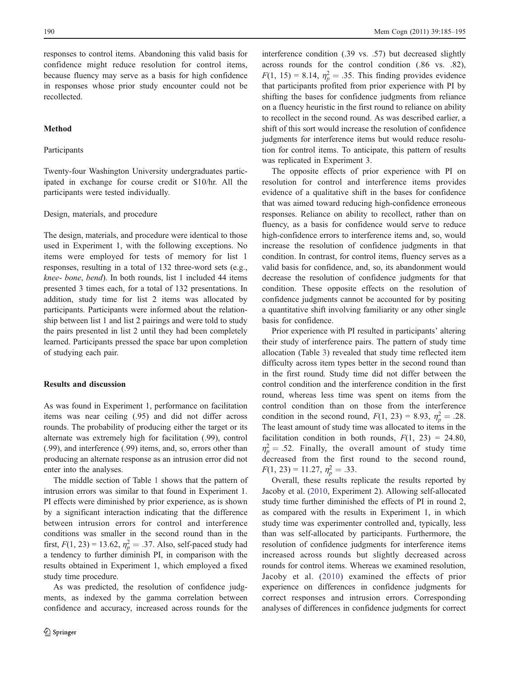responses to control items. Abandoning this valid basis for confidence might reduce resolution for control items, because fluency may serve as a basis for high confidence in responses whose prior study encounter could not be recollected.

### Method

#### Participants

Twenty-four Washington University undergraduates participated in exchange for course credit or \$10/hr. All the participants were tested individually.

### Design, materials, and procedure

The design, materials, and procedure were identical to those used in Experiment 1, with the following exceptions. No items were employed for tests of memory for list 1 responses, resulting in a total of 132 three-word sets (e.g., knee- bone, bend). In both rounds, list 1 included 44 items presented 3 times each, for a total of 132 presentations. In addition, study time for list 2 items was allocated by participants. Participants were informed about the relationship between list 1 and list 2 pairings and were told to study the pairs presented in list 2 until they had been completely learned. Participants pressed the space bar upon completion of studying each pair.

#### Results and discussion

As was found in Experiment 1, performance on facilitation items was near ceiling (.95) and did not differ across rounds. The probability of producing either the target or its alternate was extremely high for facilitation (.99), control (.99), and interference (.99) items, and, so, errors other than producing an alternate response as an intrusion error did not enter into the analyses.

The middle section of Table [1](#page-3-0) shows that the pattern of intrusion errors was similar to that found in Experiment 1. PI effects were diminished by prior experience, as is shown by a significant interaction indicating that the difference between intrusion errors for control and interference conditions was smaller in the second round than in the first,  $F(1, 23) = 13.62$ ,  $\eta_p^2 = .37$ . Also, self-paced study had a tendency to further diminish PI, in comparison with the results obtained in Experiment 1, which employed a fixed study time procedure.

As was predicted, the resolution of confidence judgments, as indexed by the gamma correlation between confidence and accuracy, increased across rounds for the interference condition (.39 vs. .57) but decreased slightly across rounds for the control condition (.86 vs. .82),  $F(1, 15) = 8.14$ ,  $\eta_p^2 = .35$ . This finding provides evidence that participants profited from prior experience with PI by shifting the bases for confidence judgments from reliance on a fluency heuristic in the first round to reliance on ability to recollect in the second round. As was described earlier, a shift of this sort would increase the resolution of confidence judgments for interference items but would reduce resolution for control items. To anticipate, this pattern of results was replicated in Experiment 3.

The opposite effects of prior experience with PI on resolution for control and interference items provides evidence of a qualitative shift in the bases for confidence that was aimed toward reducing high-confidence erroneous responses. Reliance on ability to recollect, rather than on fluency, as a basis for confidence would serve to reduce high-confidence errors to interference items and, so, would increase the resolution of confidence judgments in that condition. In contrast, for control items, fluency serves as a valid basis for confidence, and, so, its abandonment would decrease the resolution of confidence judgments for that condition. These opposite effects on the resolution of confidence judgments cannot be accounted for by positing a quantitative shift involving familiarity or any other single basis for confidence.

Prior experience with PI resulted in participants' altering their study of interference pairs. The pattern of study time allocation (Table [3\)](#page-6-0) revealed that study time reflected item difficulty across item types better in the second round than in the first round. Study time did not differ between the control condition and the interference condition in the first round, whereas less time was spent on items from the control condition than on those from the interference condition in the second round,  $F(1, 23) = 8.93$ ,  $\eta_p^2 = .28$ . The least amount of study time was allocated to items in the facilitation condition in both rounds,  $F(1, 23) = 24.80$ .  $\eta_p^2 = .52$ . Finally, the overall amount of study time decreased from the first round to the second round,  $F(1, 23) = 11.27, \eta_p^2 = .33.$ 

Overall, these results replicate the results reported by Jacoby et al. ([2010,](#page-10-0) Experiment 2). Allowing self-allocated study time further diminished the effects of PI in round 2, as compared with the results in Experiment 1, in which study time was experimenter controlled and, typically, less than was self-allocated by participants. Furthermore, the resolution of confidence judgments for interference items increased across rounds but slightly decreased across rounds for control items. Whereas we examined resolution, Jacoby et al. [\(2010\)](#page-10-0) examined the effects of prior experience on differences in confidence judgments for correct responses and intrusion errors. Corresponding analyses of differences in confidence judgments for correct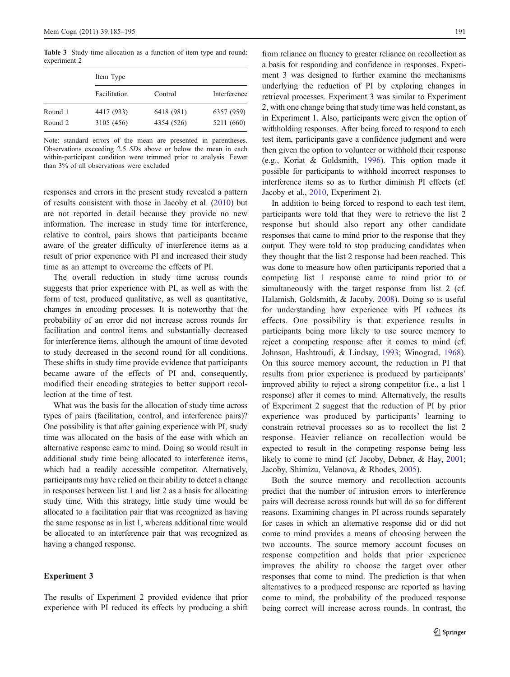<span id="page-6-0"></span>Table 3 Study time allocation as a function of item type and round: experiment 2

|         | Item Type    |            |              |
|---------|--------------|------------|--------------|
|         | Facilitation | Control    | Interference |
| Round 1 | 4417 (933)   | 6418 (981) | 6357 (959)   |
| Round 2 | 3105 (456)   | 4354 (526) | 5211 (660)   |

Note: standard errors of the mean are presented in parentheses. Observations exceeding 2.5 SDs above or below the mean in each within-participant condition were trimmed prior to analysis. Fewer than 3% of all observations were excluded

responses and errors in the present study revealed a pattern of results consistent with those in Jacoby et al. ([2010\)](#page-10-0) but are not reported in detail because they provide no new information. The increase in study time for interference, relative to control, pairs shows that participants became aware of the greater difficulty of interference items as a result of prior experience with PI and increased their study time as an attempt to overcome the effects of PI.

The overall reduction in study time across rounds suggests that prior experience with PI, as well as with the form of test, produced qualitative, as well as quantitative, changes in encoding processes. It is noteworthy that the probability of an error did not increase across rounds for facilitation and control items and substantially decreased for interference items, although the amount of time devoted to study decreased in the second round for all conditions. These shifts in study time provide evidence that participants became aware of the effects of PI and, consequently, modified their encoding strategies to better support recollection at the time of test.

What was the basis for the allocation of study time across types of pairs (facilitation, control, and interference pairs)? One possibility is that after gaining experience with PI, study time was allocated on the basis of the ease with which an alternative response came to mind. Doing so would result in additional study time being allocated to interference items, which had a readily accessible competitor. Alternatively, participants may have relied on their ability to detect a change in responses between list 1 and list 2 as a basis for allocating study time. With this strategy, little study time would be allocated to a facilitation pair that was recognized as having the same response as in list 1, whereas additional time would be allocated to an interference pair that was recognized as having a changed response.

## Experiment 3

The results of Experiment 2 provided evidence that prior experience with PI reduced its effects by producing a shift

from reliance on fluency to greater reliance on recollection as a basis for responding and confidence in responses. Experiment 3 was designed to further examine the mechanisms underlying the reduction of PI by exploring changes in retrieval processes. Experiment 3 was similar to Experiment 2, with one change being that study time was held constant, as in Experiment 1. Also, participants were given the option of withholding responses. After being forced to respond to each test item, participants gave a confidence judgment and were then given the option to volunteer or withhold their response (e.g., Koriat & Goldsmith, [1996\)](#page-10-0). This option made it possible for participants to withhold incorrect responses to interference items so as to further diminish PI effects (cf. Jacoby et al., [2010](#page-10-0), Experiment 2).

In addition to being forced to respond to each test item, participants were told that they were to retrieve the list 2 response but should also report any other candidate responses that came to mind prior to the response that they output. They were told to stop producing candidates when they thought that the list 2 response had been reached. This was done to measure how often participants reported that a competing list 1 response came to mind prior to or simultaneously with the target response from list 2 (cf. Halamish, Goldsmith, & Jacoby, [2008](#page-10-0)). Doing so is useful for understanding how experience with PI reduces its effects. One possibility is that experience results in participants being more likely to use source memory to reject a competing response after it comes to mind (cf. Johnson, Hashtroudi, & Lindsay, [1993;](#page-10-0) Winograd, [1968\)](#page-10-0). On this source memory account, the reduction in PI that results from prior experience is produced by participants' improved ability to reject a strong competitor (i.e., a list 1 response) after it comes to mind. Alternatively, the results of Experiment 2 suggest that the reduction of PI by prior experience was produced by participants' learning to constrain retrieval processes so as to recollect the list 2 response. Heavier reliance on recollection would be expected to result in the competing response being less likely to come to mind (cf. Jacoby, Debner, & Hay, [2001;](#page-10-0) Jacoby, Shimizu, Velanova, & Rhodes, [2005\)](#page-10-0).

Both the source memory and recollection accounts predict that the number of intrusion errors to interference pairs will decrease across rounds but will do so for different reasons. Examining changes in PI across rounds separately for cases in which an alternative response did or did not come to mind provides a means of choosing between the two accounts. The source memory account focuses on response competition and holds that prior experience improves the ability to choose the target over other responses that come to mind. The prediction is that when alternatives to a produced response are reported as having come to mind, the probability of the produced response being correct will increase across rounds. In contrast, the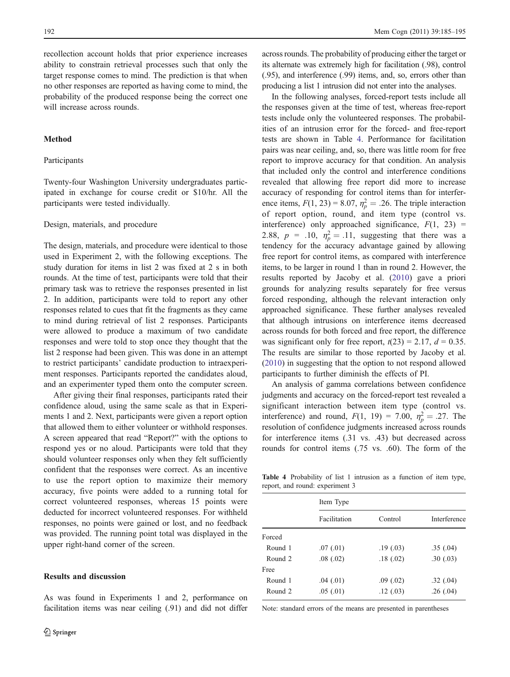recollection account holds that prior experience increases ability to constrain retrieval processes such that only the target response comes to mind. The prediction is that when no other responses are reported as having come to mind, the probability of the produced response being the correct one will increase across rounds.

### Method

#### Participants

Twenty-four Washington University undergraduates participated in exchange for course credit or \$10/hr. All the participants were tested individually.

#### Design, materials, and procedure

The design, materials, and procedure were identical to those used in Experiment 2, with the following exceptions. The study duration for items in list 2 was fixed at 2 s in both rounds. At the time of test, participants were told that their primary task was to retrieve the responses presented in list 2. In addition, participants were told to report any other responses related to cues that fit the fragments as they came to mind during retrieval of list 2 responses. Participants were allowed to produce a maximum of two candidate responses and were told to stop once they thought that the list 2 response had been given. This was done in an attempt to restrict participants' candidate production to intraexperiment responses. Participants reported the candidates aloud, and an experimenter typed them onto the computer screen.

After giving their final responses, participants rated their confidence aloud, using the same scale as that in Experiments 1 and 2. Next, participants were given a report option that allowed them to either volunteer or withhold responses. A screen appeared that read "Report?" with the options to respond yes or no aloud. Participants were told that they should volunteer responses only when they felt sufficiently confident that the responses were correct. As an incentive to use the report option to maximize their memory accuracy, five points were added to a running total for correct volunteered responses, whereas 15 points were deducted for incorrect volunteered responses. For withheld responses, no points were gained or lost, and no feedback was provided. The running point total was displayed in the upper right-hand corner of the screen.

#### Results and discussion

As was found in Experiments 1 and 2, performance on facilitation items was near ceiling (.91) and did not differ across rounds. The probability of producing either the target or its alternate was extremely high for facilitation (.98), control (.95), and interference (.99) items, and, so, errors other than producing a list 1 intrusion did not enter into the analyses.

In the following analyses, forced-report tests include all the responses given at the time of test, whereas free-report tests include only the volunteered responses. The probabilities of an intrusion error for the forced- and free-report tests are shown in Table 4. Performance for facilitation pairs was near ceiling, and, so, there was little room for free report to improve accuracy for that condition. An analysis that included only the control and interference conditions revealed that allowing free report did more to increase accuracy of responding for control items than for interference items,  $F(1, 23) = 8.07$ ,  $\eta_p^2 = .26$ . The triple interaction of report option, round, and item type (control vs. interference) only approached significance,  $F(1, 23)$  = 2.88,  $p = .10$ ,  $\eta_p^2 = .11$ , suggesting that there was a tendency for the accuracy advantage gained by allowing free report for control items, as compared with interference items, to be larger in round 1 than in round 2. However, the results reported by Jacoby et al. [\(2010](#page-10-0)) gave a priori grounds for analyzing results separately for free versus forced responding, although the relevant interaction only approached significance. These further analyses revealed that although intrusions on interference items decreased across rounds for both forced and free report, the difference was significant only for free report,  $t(23) = 2.17$ ,  $d = 0.35$ . The results are similar to those reported by Jacoby et al. [\(2010](#page-10-0)) in suggesting that the option to not respond allowed participants to further diminish the effects of PI.

An analysis of gamma correlations between confidence judgments and accuracy on the forced-report test revealed a significant interaction between item type (control vs. interference) and round,  $F(1, 19) = 7.00, \eta_p^2 = .27$ . The resolution of confidence judgments increased across rounds for interference items (.31 vs. .43) but decreased across rounds for control items (.75 vs. .60). The form of the

Table 4 Probability of list 1 intrusion as a function of item type, report, and round: experiment 3

|         | Item Type    |           |              |  |
|---------|--------------|-----------|--------------|--|
|         | Facilitation | Control   | Interference |  |
| Forced  |              |           |              |  |
| Round 1 | .07(0.01)    | .19(0.03) | .35(.04)     |  |
| Round 2 | .08(.02)     | .18(0.02) | .30(.03)     |  |
| Free    |              |           |              |  |
| Round 1 | .04(01)      | .09(0.02) | .32(.04)     |  |
| Round 2 | .05(0.01)    | .12(03)   | .26(.04)     |  |
|         |              |           |              |  |

Note: standard errors of the means are presented in parentheses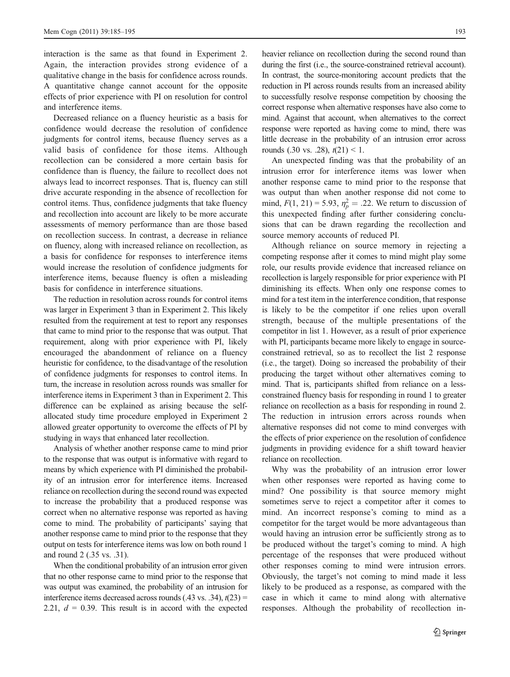interaction is the same as that found in Experiment 2. Again, the interaction provides strong evidence of a qualitative change in the basis for confidence across rounds. A quantitative change cannot account for the opposite effects of prior experience with PI on resolution for control and interference items.

Decreased reliance on a fluency heuristic as a basis for confidence would decrease the resolution of confidence judgments for control items, because fluency serves as a valid basis of confidence for those items. Although recollection can be considered a more certain basis for confidence than is fluency, the failure to recollect does not always lead to incorrect responses. That is, fluency can still drive accurate responding in the absence of recollection for control items. Thus, confidence judgments that take fluency and recollection into account are likely to be more accurate assessments of memory performance than are those based on recollection success. In contrast, a decrease in reliance on fluency, along with increased reliance on recollection, as a basis for confidence for responses to interference items would increase the resolution of confidence judgments for interference items, because fluency is often a misleading basis for confidence in interference situations.

The reduction in resolution across rounds for control items was larger in Experiment 3 than in Experiment 2. This likely resulted from the requirement at test to report any responses that came to mind prior to the response that was output. That requirement, along with prior experience with PI, likely encouraged the abandonment of reliance on a fluency heuristic for confidence, to the disadvantage of the resolution of confidence judgments for responses to control items. In turn, the increase in resolution across rounds was smaller for interference items in Experiment 3 than in Experiment 2. This difference can be explained as arising because the selfallocated study time procedure employed in Experiment 2 allowed greater opportunity to overcome the effects of PI by studying in ways that enhanced later recollection.

Analysis of whether another response came to mind prior to the response that was output is informative with regard to means by which experience with PI diminished the probability of an intrusion error for interference items. Increased reliance on recollection during the second round was expected to increase the probability that a produced response was correct when no alternative response was reported as having come to mind. The probability of participants' saying that another response came to mind prior to the response that they output on tests for interference items was low on both round 1 and round 2 (.35 vs. .31).

When the conditional probability of an intrusion error given that no other response came to mind prior to the response that was output was examined, the probability of an intrusion for interference items decreased across rounds  $(.43 \text{ vs. } .34)$ ,  $t(23)$  = 2.21,  $d = 0.39$ . This result is in accord with the expected heavier reliance on recollection during the second round than during the first (i.e., the source-constrained retrieval account). In contrast, the source-monitoring account predicts that the reduction in PI across rounds results from an increased ability to successfully resolve response competition by choosing the correct response when alternative responses have also come to mind. Against that account, when alternatives to the correct response were reported as having come to mind, there was little decrease in the probability of an intrusion error across rounds (.30 vs. .28),  $t(21) < 1$ .

An unexpected finding was that the probability of an intrusion error for interference items was lower when another response came to mind prior to the response that was output than when another response did not come to mind,  $F(1, 21) = 5.93$ ,  $\eta_p^2 = .22$ . We return to discussion of this unexpected finding after further considering conclusions that can be drawn regarding the recollection and source memory accounts of reduced PI.

Although reliance on source memory in rejecting a competing response after it comes to mind might play some role, our results provide evidence that increased reliance on recollection is largely responsible for prior experience with PI diminishing its effects. When only one response comes to mind for a test item in the interference condition, that response is likely to be the competitor if one relies upon overall strength, because of the multiple presentations of the competitor in list 1. However, as a result of prior experience with PI, participants became more likely to engage in sourceconstrained retrieval, so as to recollect the list 2 response (i.e., the target). Doing so increased the probability of their producing the target without other alternatives coming to mind. That is, participants shifted from reliance on a lessconstrained fluency basis for responding in round 1 to greater reliance on recollection as a basis for responding in round 2. The reduction in intrusion errors across rounds when alternative responses did not come to mind converges with the effects of prior experience on the resolution of confidence judgments in providing evidence for a shift toward heavier reliance on recollection.

Why was the probability of an intrusion error lower when other responses were reported as having come to mind? One possibility is that source memory might sometimes serve to reject a competitor after it comes to mind. An incorrect response's coming to mind as a competitor for the target would be more advantageous than would having an intrusion error be sufficiently strong as to be produced without the target's coming to mind. A high percentage of the responses that were produced without other responses coming to mind were intrusion errors. Obviously, the target's not coming to mind made it less likely to be produced as a response, as compared with the case in which it came to mind along with alternative responses. Although the probability of recollection in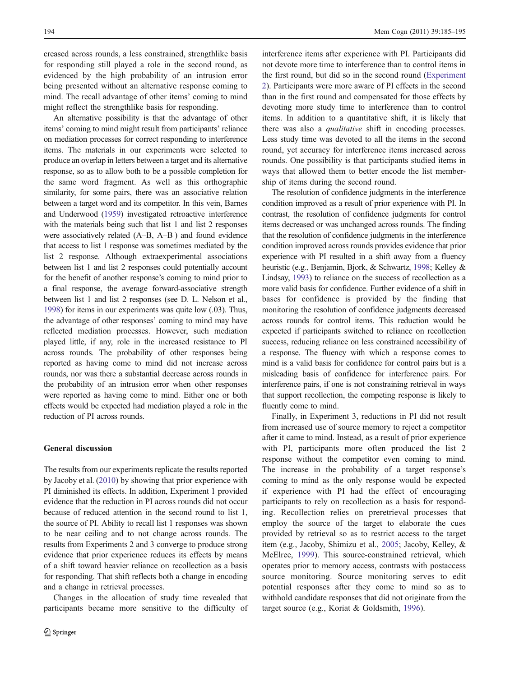creased across rounds, a less constrained, strengthlike basis for responding still played a role in the second round, as evidenced by the high probability of an intrusion error being presented without an alternative response coming to mind. The recall advantage of other items' coming to mind might reflect the strengthlike basis for responding.

An alternative possibility is that the advantage of other items' coming to mind might result from participants' reliance on mediation processes for correct responding to interference items. The materials in our experiments were selected to produce an overlap in letters between a target and its alternative response, so as to allow both to be a possible completion for the same word fragment. As well as this orthographic similarity, for some pairs, there was an associative relation between a target word and its competitor. In this vein, Barnes and Underwood [\(1959\)](#page-10-0) investigated retroactive interference with the materials being such that list 1 and list 2 responses were associatively related (A–B, A–B ) and found evidence that access to list 1 response was sometimes mediated by the list 2 response. Although extraexperimental associations between list 1 and list 2 responses could potentially account for the benefit of another response's coming to mind prior to a final response, the average forward-associative strength between list 1 and list 2 responses (see D. L. Nelson et al., [1998](#page-10-0)) for items in our experiments was quite low (.03). Thus, the advantage of other responses' coming to mind may have reflected mediation processes. However, such mediation played little, if any, role in the increased resistance to PI across rounds. The probability of other responses being reported as having come to mind did not increase across rounds, nor was there a substantial decrease across rounds in the probability of an intrusion error when other responses were reported as having come to mind. Either one or both effects would be expected had mediation played a role in the reduction of PI across rounds.

## General discussion

The results from our experiments replicate the results reported by Jacoby et al. [\(2010\)](#page-10-0) by showing that prior experience with PI diminished its effects. In addition, Experiment 1 provided evidence that the reduction in PI across rounds did not occur because of reduced attention in the second round to list 1, the source of PI. Ability to recall list 1 responses was shown to be near ceiling and to not change across rounds. The results from Experiments 2 and 3 converge to produce strong evidence that prior experience reduces its effects by means of a shift toward heavier reliance on recollection as a basis for responding. That shift reflects both a change in encoding and a change in retrieval processes.

Changes in the allocation of study time revealed that participants became more sensitive to the difficulty of

interference items after experience with PI. Participants did not devote more time to interference than to control items in the first round, but did so in the second round [\(Experiment](#page-4-0) [2](#page-4-0)). Participants were more aware of PI effects in the second than in the first round and compensated for those effects by devoting more study time to interference than to control items. In addition to a quantitative shift, it is likely that there was also a qualitative shift in encoding processes. Less study time was devoted to all the items in the second round, yet accuracy for interference items increased across rounds. One possibility is that participants studied items in ways that allowed them to better encode the list membership of items during the second round.

The resolution of confidence judgments in the interference condition improved as a result of prior experience with PI. In contrast, the resolution of confidence judgments for control items decreased or was unchanged across rounds. The finding that the resolution of confidence judgments in the interference condition improved across rounds provides evidence that prior experience with PI resulted in a shift away from a fluency heuristic (e.g., Benjamin, Bjork, & Schwartz, [1998](#page-10-0); Kelley & Lindsay, [1993](#page-10-0)) to reliance on the success of recollection as a more valid basis for confidence. Further evidence of a shift in bases for confidence is provided by the finding that monitoring the resolution of confidence judgments decreased across rounds for control items. This reduction would be expected if participants switched to reliance on recollection success, reducing reliance on less constrained accessibility of a response. The fluency with which a response comes to mind is a valid basis for confidence for control pairs but is a misleading basis of confidence for interference pairs. For interference pairs, if one is not constraining retrieval in ways that support recollection, the competing response is likely to fluently come to mind.

Finally, in Experiment 3, reductions in PI did not result from increased use of source memory to reject a competitor after it came to mind. Instead, as a result of prior experience with PI, participants more often produced the list 2 response without the competitor even coming to mind. The increase in the probability of a target response's coming to mind as the only response would be expected if experience with PI had the effect of encouraging participants to rely on recollection as a basis for responding. Recollection relies on preretrieval processes that employ the source of the target to elaborate the cues provided by retrieval so as to restrict access to the target item (e.g., Jacoby, Shimizu et al., [2005;](#page-10-0) Jacoby, Kelley, & McElree, [1999](#page-10-0)). This source-constrained retrieval, which operates prior to memory access, contrasts with postaccess source monitoring. Source monitoring serves to edit potential responses after they come to mind so as to withhold candidate responses that did not originate from the target source (e.g., Koriat & Goldsmith, [1996](#page-10-0)).